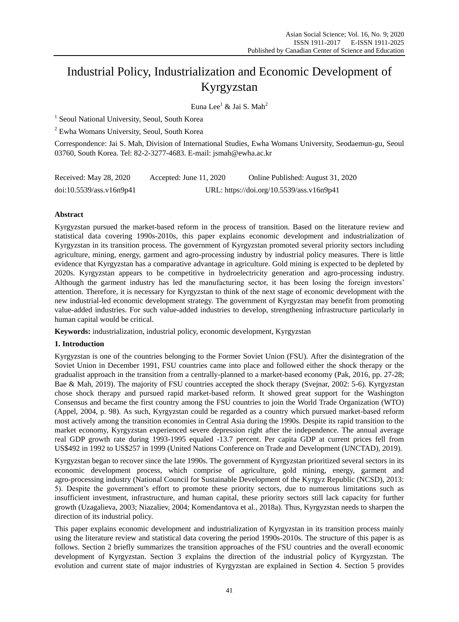# Industrial Policy, Industrialization and Economic Development of Kyrgyzstan

Euna Lee<sup>1</sup> & Jai S. Mah<sup>2</sup>

<sup>1</sup> Seoul National University, Seoul, South Korea

<sup>2</sup> Ewha Womans University, Seoul, South Korea

Correspondence: Jai S. Mah, Division of International Studies, Ewha Womans University, Seodaemun-gu, Seoul 03760, South Korea. Tel: 82-2-3277-4683. E-mail: [jsmah@ewha.ac.kr](mailto:jsmah@ewha.ac.kr)

| Received: May 28, 2020   | Accepted: June 11, $2020$ | Online Published: August 31, 2020         |
|--------------------------|---------------------------|-------------------------------------------|
| doi:10.5539/ass.v16n9p41 |                           | URL: https://doi.org/10.5539/ass.v16n9p41 |

# **Abstract**

Kyrgyzstan pursued the market-based reform in the process of transition. Based on the literature review and statistical data covering 1990s-2010s, this paper explains economic development and industrialization of Kyrgyzstan in its transition process. The government of Kyrgyzstan promoted several priority sectors including agriculture, mining, energy, garment and agro-processing industry by industrial policy measures. There is little evidence that Kyrgyzstan has a comparative advantage in agriculture. Gold mining is expected to be depleted by 2020s. Kyrgyzstan appears to be competitive in hydroelectricity generation and agro-processing industry. Although the garment industry has led the manufacturing sector, it has been losing the foreign investors' attention. Therefore, it is necessary for Kyrgyzstan to think of the next stage of economic development with the new industrial-led economic development strategy. The government of Kyrgyzstan may benefit from promoting value-added industries. For such value-added industries to develop, strengthening infrastructure particularly in human capital would be critical.

**Keywords:** industrialization, industrial policy, economic development, Kyrgyzstan

# **1. Introduction**

Kyrgyzstan is one of the countries belonging to the Former Soviet Union (FSU). After the disintegration of the Soviet Union in December 1991, FSU countries came into place and followed either the shock therapy or the gradualist approach in the transition from a centrally-planned to a market-based economy (Pak, 2016, pp. 27-28; Bae & Mah, 2019). The majority of FSU countries accepted the shock therapy (Svejnar, 2002: 5-6). Kyrgyzstan chose shock therapy and pursued rapid market-based reform. It showed great support for the Washington Consensus and became the first country among the FSU countries to join the World Trade Organization (WTO) (Appel, 2004, p. 98). As such, Kyrgyzstan could be regarded as a country which pursued market-based reform most actively among the transition economies in Central Asia during the 1990s. Despite its rapid transition to the market economy, Kyrgyzstan experienced severe depression right after the independence. The annual average real GDP growth rate during 1993-1995 equaled -13.7 percent. Per capita GDP at current prices fell from US\$492 in 1992 to US\$257 in 1999 (United Nations Conference on Trade and Development (UNCTAD), 2019).

Kyrgyzstan began to recover since the late 1990s. The government of Kyrgyzstan prioritized several sectors in its economic development process, which comprise of agriculture, gold mining, energy, garment and agro-processing industry (National Council for Sustainable Development of the Kyrgyz Republic (NCSD), 2013: 5). Despite the government's effort to promote these priority sectors, due to numerous limitations such as insufficient investment, infrastructure, and human capital, these priority sectors still lack capacity for further growth (Uzagalieva, 2003; Niazaliev, 2004; Komendantova et al., 2018a). Thus, Kyrgyzstan needs to sharpen the direction of its industrial policy.

This paper explains economic development and industrialization of Kyrgyzstan in its transition process mainly using the literature review and statistical data covering the period 1990s-2010s. The structure of this paper is as follows. Section 2 briefly summarizes the transition approaches of the FSU countries and the overall economic development of Kyrgyzstan. Section 3 explains the direction of the industrial policy of Kyrgyzstan. The evolution and current state of major industries of Kyrgyzstan are explained in Section 4. Section 5 provides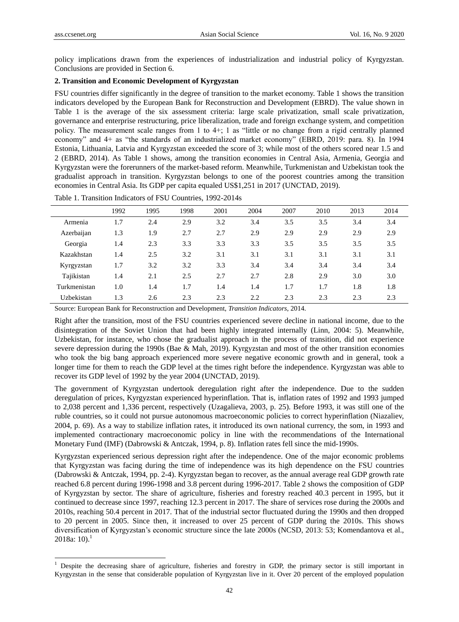-

policy implications drawn from the experiences of industrialization and industrial policy of Kyrgyzstan. Conclusions are provided in Section 6.

#### **2. Transition and Economic Development of Kyrgyzstan**

FSU countries differ significantly in the degree of transition to the market economy. Table 1 shows the transition indicators developed by the European Bank for Reconstruction and Development (EBRD). The value shown in Table 1 is the average of the six assessment criteria: large scale privatization, small scale privatization, governance and enterprise restructuring, price liberalization, trade and foreign exchange system, and competition policy. The measurement scale ranges from 1 to  $4+$ ; 1 as "little or no change from a rigid centrally planned economy" and 4+ as "the standards of an industrialized market economy" (EBRD, 2019: para. 8). In 1994 Estonia, Lithuania, Latvia and Kyrgyzstan exceeded the score of 3; while most of the others scored near 1.5 and 2 (EBRD, 2014). As Table 1 shows, among the transition economies in Central Asia, Armenia, Georgia and Kyrgyzstan were the forerunners of the market-based reform. Meanwhile, Turkmenistan and Uzbekistan took the gradualist approach in transition. Kyrgyzstan belongs to one of the poorest countries among the transition economies in Central Asia. Its GDP per capita equaled US\$1,251 in 2017 (UNCTAD, 2019).

| Table 1. Transition Indicators of FSU Countries, 1992-2014s |  |  |  |
|-------------------------------------------------------------|--|--|--|
|-------------------------------------------------------------|--|--|--|

|              | 1992 | 1995 | 1998 | 2001 | 2004 | 2007 | 2010 | 2013 | 2014 |
|--------------|------|------|------|------|------|------|------|------|------|
| Armenia      | 1.7  | 2.4  | 2.9  | 3.2  | 3.4  | 3.5  | 3.5  | 3.4  | 3.4  |
| Azerbaijan   | 1.3  | 1.9  | 2.7  | 2.7  | 2.9  | 2.9  | 2.9  | 2.9  | 2.9  |
| Georgia      | 1.4  | 2.3  | 3.3  | 3.3  | 3.3  | 3.5  | 3.5  | 3.5  | 3.5  |
| Kazakhstan   | 1.4  | 2.5  | 3.2  | 3.1  | 3.1  | 3.1  | 3.1  | 3.1  | 3.1  |
| Kyrgyzstan   | 1.7  | 3.2  | 3.2  | 3.3  | 3.4  | 3.4  | 3.4  | 3.4  | 3.4  |
| Tajikistan   | 1.4  | 2.1  | 2.5  | 2.7  | 2.7  | 2.8  | 2.9  | 3.0  | 3.0  |
| Turkmenistan | 1.0  | 1.4  | 1.7  | 1.4  | 1.4  | 1.7  | 1.7  | 1.8  | 1.8  |
| Uzbekistan   | 1.3  | 2.6  | 2.3  | 2.3  | 2.2  | 2.3  | 2.3  | 2.3  | 2.3  |
|              |      |      |      |      |      |      |      |      |      |

Source: European Bank for Reconstruction and Development, *Transition Indicators*, 2014.

Right after the transition, most of the FSU countries experienced severe decline in national income, due to the disintegration of the Soviet Union that had been highly integrated internally (Linn, 2004: 5). Meanwhile, Uzbekistan, for instance, who chose the gradualist approach in the process of transition, did not experience severe depression during the 1990s (Bae & Mah, 2019). Kyrgyzstan and most of the other transition economies who took the big bang approach experienced more severe negative economic growth and in general, took a longer time for them to reach the GDP level at the times right before the independence. Kyrgyzstan was able to recover its GDP level of 1992 by the year 2004 (UNCTAD, 2019).

The government of Kyrgyzstan undertook deregulation right after the independence. Due to the sudden deregulation of prices, Kyrgyzstan experienced hyperinflation. That is, inflation rates of 1992 and 1993 jumped to 2,038 percent and 1,336 percent, respectively (Uzagalieva, 2003, p. 25). Before 1993, it was still one of the ruble countries, so it could not pursue autonomous macroeconomic policies to correct hyperinflation (Niazaliev, 2004, p. 69). As a way to stabilize inflation rates, it introduced its own national currency, the som, in 1993 and implemented contractionary macroeconomic policy in line with the recommendations of the International Monetary Fund (IMF) (Dabrowski & Antczak, 1994, p. 8). Inflation rates fell since the mid-1990s.

Kyrgyzstan experienced serious depression right after the independence. One of the major economic problems that Kyrgyzstan was facing during the time of independence was its high dependence on the FSU countries (Dabrowski & Antczak, 1994, pp. 2-4). Kyrgyzstan began to recover, as the annual average real GDP growth rate reached 6.8 percent during 1996-1998 and 3.8 percent during 1996-2017. Table 2 shows the composition of GDP of Kyrgyzstan by sector. The share of agriculture, fisheries and forestry reached 40.3 percent in 1995, but it continued to decrease since 1997, reaching 12.3 percent in 2017. The share of services rose during the 2000s and 2010s, reaching 50.4 percent in 2017. That of the industrial sector fluctuated during the 1990s and then dropped to 20 percent in 2005. Since then, it increased to over 25 percent of GDP during the 2010s. This shows diversification of Kyrgyzstan's economic structure since the late 2000s (NCSD, 2013: 53; Komendantova et al.,  $2018a: 10$ .

<sup>&</sup>lt;sup>1</sup> Despite the decreasing share of agriculture, fisheries and forestry in GDP, the primary sector is still important in Kyrgyzstan in the sense that considerable population of Kyrgyzstan live in it. Over 20 percent of the employed population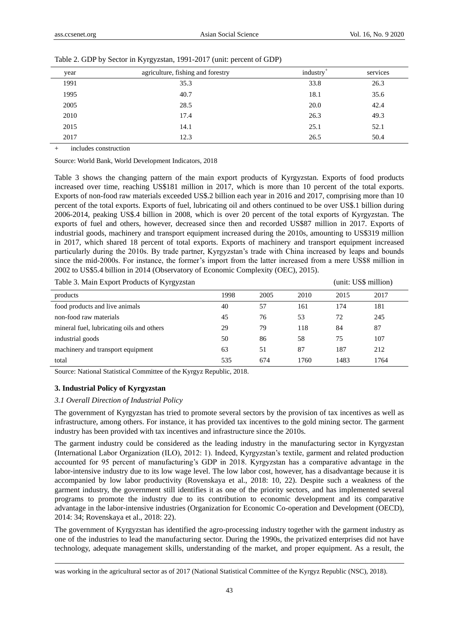| year | agriculture, fishing and forestry | industry | services |
|------|-----------------------------------|----------|----------|
| 1991 | 35.3                              | 33.8     | 26.3     |
| 1995 | 40.7                              | 18.1     | 35.6     |
| 2005 | 28.5                              | 20.0     | 42.4     |
| 2010 | 17.4                              | 26.3     | 49.3     |
| 2015 | 14.1                              | 25.1     | 52.1     |
| 2017 | 12.3                              | 26.5     | 50.4     |

Table 2. GDP by Sector in Kyrgyzstan, 1991-2017 (unit: percent of GDP)

+ includes construction

Source: World Bank, World Development Indicators, 2018

Table 3 shows the changing pattern of the main export products of Kyrgyzstan. Exports of food products increased over time, reaching US\$181 million in 2017, which is more than 10 percent of the total exports. Exports of non-food raw materials exceeded US\$.2 billion each year in 2016 and 2017, comprising more than 10 percent of the total exports. Exports of fuel, lubricating oil and others continued to be over US\$.1 billion during 2006-2014, peaking US\$.4 billion in 2008, which is over 20 percent of the total exports of Kyrgyzstan. The exports of fuel and others, however, decreased since then and recorded US\$87 million in 2017. Exports of industrial goods, machinery and transport equipment increased during the 2010s, amounting to US\$319 million in 2017, which shared 18 percent of total exports. Exports of machinery and transport equipment increased particularly during the 2010s. By trade partner, Kyrgyzstan's trade with China increased by leaps and bounds since the mid-2000s. For instance, the former's import from the latter increased from a mere US\$8 million in 2002 to US\$5.4 billion in 2014 (Observatory of Economic Complexity (OEC), 2015).

Table 3. Main Export Products of Kyrgyzstan (unit: US\$ million)

| Table 5. INTHE EXPORT FOUNDS OF IXYIE YESHIN |      |      |      | $\mu$ . Unit, Unit, Unit, Unit, Unit, Unit, Unit, Unit, Unit, Unit, Unit, Unit, Unit, Unit, Unit, Unit, Unit, Unit, U |      |  |
|----------------------------------------------|------|------|------|-----------------------------------------------------------------------------------------------------------------------|------|--|
| products                                     | 1998 | 2005 | 2010 | 2015                                                                                                                  | 2017 |  |
| food products and live animals               | 40   | 57   | 161  | 174                                                                                                                   | 181  |  |
| non-food raw materials                       | 45   | 76   | 53   | 72                                                                                                                    | 245  |  |
| mineral fuel, lubricating oils and others    | 29   | 79   | 118  | 84                                                                                                                    | 87   |  |
| industrial goods                             | 50   | 86   | 58   | 75                                                                                                                    | 107  |  |
| machinery and transport equipment            | 63   | 51   | 87   | 187                                                                                                                   | 212  |  |
| total                                        | 535  | 674  | 1760 | 1483                                                                                                                  | 1764 |  |

Source: National Statistical Committee of the Kyrgyz Republic, 2018.

#### **3. Industrial Policy of Kyrgyzstan**

-

#### *3.1 Overall Direction of Industrial Policy*

The government of Kyrgyzstan has tried to promote several sectors by the provision of tax incentives as well as infrastructure, among others. For instance, it has provided tax incentives to the gold mining sector. The garment industry has been provided with tax incentives and infrastructure since the 2010s.

The garment industry could be considered as the leading industry in the manufacturing sector in Kyrgyzstan (International Labor Organization (ILO), 2012: 1). Indeed, Kyrgyzstan's textile, garment and related production accounted for 95 percent of manufacturing's GDP in 2018. Kyrgyzstan has a comparative advantage in the labor-intensive industry due to its low wage level. The low labor cost, however, has a disadvantage because it is accompanied by low labor productivity (Rovenskaya et al., 2018: 10, 22). Despite such a weakness of the garment industry, the government still identifies it as one of the priority sectors, and has implemented several programs to promote the industry due to its contribution to economic development and its comparative advantage in the labor-intensive industries (Organization for Economic Co-operation and Development (OECD), 2014: 34; Rovenskaya et al., 2018: 22).

The government of Kyrgyzstan has identified the agro-processing industry together with the garment industry as one of the industries to lead the manufacturing sector. During the 1990s, the privatized enterprises did not have technology, adequate management skills, understanding of the market, and proper equipment. As a result, the

was working in the agricultural sector as of 2017 (National Statistical Committee of the Kyrgyz Republic (NSC), 2018).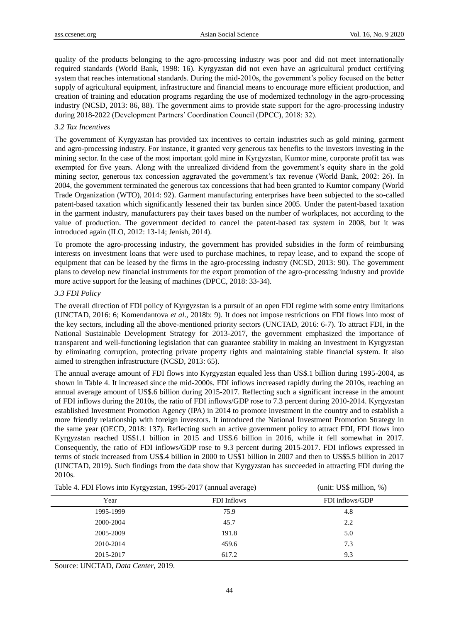quality of the products belonging to the agro-processing industry was poor and did not meet internationally required standards (World Bank, 1998: 16). Kyrgyzstan did not even have an agricultural product certifying system that reaches international standards. During the mid-2010s, the government's policy focused on the better supply of agricultural equipment, infrastructure and financial means to encourage more efficient production, and creation of training and education programs regarding the use of modernized technology in the agro-processing industry (NCSD, 2013: 86, 88). The government aims to provide state support for the agro-processing industry during 2018-2022 (Development Partners' Coordination Council (DPCC), 2018: 32).

#### *3.2 Tax Incentives*

The government of Kyrgyzstan has provided tax incentives to certain industries such as gold mining, garment and agro-processing industry. For instance, it granted very generous tax benefits to the investors investing in the mining sector. In the case of the most important gold mine in Kyrgyzstan, Kumtor mine, corporate profit tax was exempted for five years. Along with the unrealized dividend from the government's equity share in the gold mining sector, generous tax concession aggravated the government's tax revenue (World Bank, 2002: 26). In 2004, the government terminated the generous tax concessions that had been granted to Kumtor company (World Trade Organization (WTO), 2014: 92). Garment manufacturing enterprises have been subjected to the so-called patent-based taxation which significantly lessened their tax burden since 2005. Under the patent-based taxation in the garment industry, manufacturers pay their taxes based on the number of workplaces, not according to the value of production. The government decided to cancel the patent-based tax system in 2008, but it was introduced again (ILO, 2012: 13-14; Jenish, 2014).

To promote the agro-processing industry, the government has provided subsidies in the form of reimbursing interests on investment loans that were used to purchase machines, to repay lease, and to expand the scope of equipment that can be leased by the firms in the agro-processing industry (NCSD, 2013: 90). The government plans to develop new financial instruments for the export promotion of the agro-processing industry and provide more active support for the leasing of machines (DPCC, 2018: 33-34).

#### *3.3 FDI Policy*

The overall direction of FDI policy of Kyrgyzstan is a pursuit of an open FDI regime with some entry limitations (UNCTAD, 2016: 6; Komendantova *et al*., 2018b: 9). It does not impose restrictions on FDI flows into most of the key sectors, including all the above-mentioned priority sectors (UNCTAD, 2016: 6-7). To attract FDI, in the National Sustainable Development Strategy for 2013-2017, the government emphasized the importance of transparent and well-functioning legislation that can guarantee stability in making an investment in Kyrgyzstan by eliminating corruption, protecting private property rights and maintaining stable financial system. It also aimed to strengthen infrastructure (NCSD, 2013: 65).

The annual average amount of FDI flows into Kyrgyzstan equaled less than US\$.1 billion during 1995-2004, as shown in Table 4. It increased since the mid-2000s. FDI inflows increased rapidly during the 2010s, reaching an annual average amount of US\$.6 billion during 2015-2017. Reflecting such a significant increase in the amount of FDI inflows during the 2010s, the ratio of FDI inflows/GDP rose to 7.3 percent during 2010-2014. Kyrgyzstan established Investment Promotion Agency (IPA) in 2014 to promote investment in the country and to establish a more friendly relationship with foreign investors. It introduced the National Investment Promotion Strategy in the same year (OECD, 2018: 137). Reflecting such an active government policy to attract FDI, FDI flows into Kyrgyzstan reached US\$1.1 billion in 2015 and US\$.6 billion in 2016, while it fell somewhat in 2017. Consequently, the ratio of FDI inflows/GDP rose to 9.3 percent during 2015-2017. FDI inflows expressed in terms of stock increased from US\$.4 billion in 2000 to US\$1 billion in 2007 and then to US\$5.5 billion in 2017 (UNCTAD, 2019). Such findings from the data show that Kyrgyzstan has succeeded in attracting FDI during the 2010s.

| Table 4. FDI Flows into Kyrgyzstan, 1995-2017 (annual average) |             | $(\text{unit: } \text{US}\$ million, %) |
|----------------------------------------------------------------|-------------|-----------------------------------------|
| Year                                                           | FDI Inflows | FDI inflows/GDP                         |
| 1995-1999                                                      | 75.9        | 4.8                                     |
| 2000-2004                                                      | 45.7        | 2.2                                     |
| 2005-2009                                                      | 191.8       | 5.0                                     |
| 2010-2014                                                      | 459.6       | 7.3                                     |
| 2015-2017                                                      | 617.2       | 9.3                                     |

Source: UNCTAD, *Data Center*, 2019.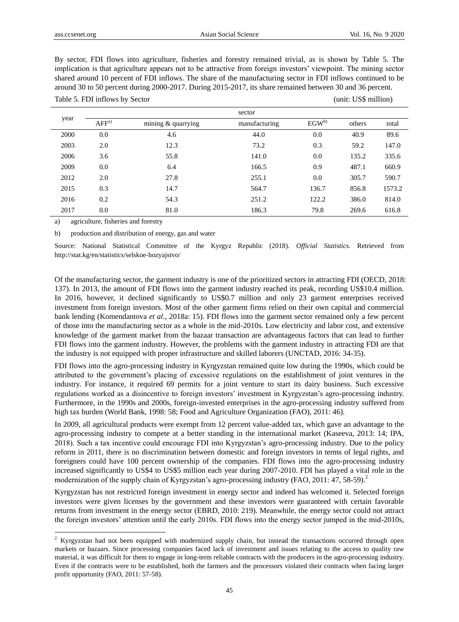By sector, FDI flows into agriculture, fisheries and forestry remained trivial, as is shown by Table 5. The implication is that agriculture appears not to be attractive from foreign investors' viewpoint. The mining sector shared around 10 percent of FDI inflows. The share of the manufacturing sector in FDI inflows continued to be around 30 to 50 percent during 2000-2017. During 2015-2017, its share remained between 30 and 36 percent.

|      | sector           |                    |               |            |        |        |  |  |  |
|------|------------------|--------------------|---------------|------------|--------|--------|--|--|--|
| year | AFF <sup>a</sup> | mining & quarrying | manufacturing | $EGW^{b)}$ | others | total  |  |  |  |
| 2000 | 0.0              | 4.6                | 44.0          | 0.0        | 40.9   | 89.6   |  |  |  |
| 2003 | 2.0              | 12.3               | 73.2          | 0.3        | 59.2   | 147.0  |  |  |  |
| 2006 | 3.6              | 55.8               | 141.0         | 0.0        | 135.2  | 335.6  |  |  |  |
| 2009 | $0.0\,$          | 6.4                | 166.5         | 0.9        | 487.1  | 660.9  |  |  |  |
| 2012 | 2.0              | 27.8               | 255.1         | 0.0        | 305.7  | 590.7  |  |  |  |
| 2015 | 0.3              | 14.7               | 564.7         | 136.7      | 856.8  | 1573.2 |  |  |  |
| 2016 | 0.2              | 54.3               | 251.2         | 122.2      | 386.0  | 814.0  |  |  |  |
| 2017 | $0.0\,$          | 81.0               | 186.3         | 79.8       | 269.6  | 616.8  |  |  |  |

Table 5. FDI inflows by Sector (unit: US\$ million)

a) agriculture, fisheries and forestry

-

b) production and distribution of energy, gas and water

Source: National Statistical Committee of the Kyrgyz Republic (2018). *Official Statistics.* Retrieved from <http://stat.kg/en/statistics/selskoe-hozyajstvo/>

Of the manufacturing sector, the garment industry is one of the prioritized sectors in attracting FDI (OECD, 2018: 137). In 2013, the amount of FDI flows into the garment industry reached its peak, recording US\$10.4 million. In 2016, however, it declined significantly to US\$0.7 million and only 23 garment enterprises received investment from foreign investors. Most of the other garment firms relied on their own capital and commercial bank lending (Komendantova *et al*., 2018a: 15). FDI flows into the garment sector remained only a few percent of those into the manufacturing sector as a whole in the mid-2010s. Low electricity and labor cost, and extensive knowledge of the garment market from the bazaar transaction are advantageous factors that can lead to further FDI flows into the garment industry. However, the problems with the garment industry in attracting FDI are that the industry is not equipped with proper infrastructure and skilled laborers (UNCTAD, 2016: 34-35).

FDI flows into the agro-processing industry in Kyrgyzstan remained quite low during the 1990s, which could be attributed to the government's placing of excessive regulations on the establishment of joint ventures in the industry. For instance, it required 69 permits for a joint venture to start its dairy business. Such excessive regulations worked as a disincentive to foreign investors' investment in Kyrgyzstan's agro-processing industry. Furthermore, in the 1990s and 2000s, foreign-invested enterprises in the agro-processing industry suffered from high tax burden (World Bank, 1998: 58; Food and Agriculture Organization (FAO), 2011: 46).

In 2009, all agricultural products were exempt from 12 percent value-added tax, which gave an advantage to the agro-processing industry to compete at a better standing in the international market (Kaseeva, 2013: 14; IPA, 2018). Such a tax incentive could encourage FDI into Kyrgyzstan's agro-processing industry. Due to the policy reform in 2011, there is no discrimination between domestic and foreign investors in terms of legal rights, and foreigners could have 100 percent ownership of the companies. FDI flows into the agro-processing industry increased significantly to US\$4 to US\$5 million each year during 2007-2010. FDI has played a vital role in the modernization of the supply chain of Kyrgyzstan's agro-processing industry (FAO, 2011: 47, 58-59).<sup>2</sup>

Kyrgyzstan has not restricted foreign investment in energy sector and indeed has welcomed it. Selected foreign investors were given licenses by the government and these investors were guaranteed with certain favorable returns from investment in the energy sector (EBRD, 2010: 219). Meanwhile, the energy sector could not attract the foreign investors' attention until the early 2010s. FDI flows into the energy sector jumped in the mid-2010s,

 $2$  Kyrgyzstan had not been equipped with modernized supply chain, but instead the transactions occurred through open markets or bazaars. Since processing companies faced lack of investment and issues relating to the access to quality raw material, it was difficult for them to engage in long-term reliable contracts with the producers in the agro-processing industry. Even if the contracts were to be established, both the farmers and the processors violated their contracts when facing larger profit opportunity (FAO, 2011: 57-58).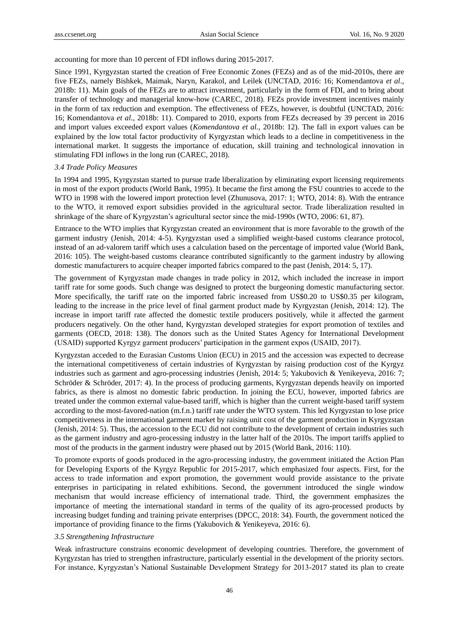accounting for more than 10 percent of FDI inflows during 2015-2017.

Since 1991, Kyrgyzstan started the creation of Free Economic Zones (FEZs) and as of the mid-2010s, there are five FEZs, namely Bishkek, Maimak, Naryn, Karakol, and Leilek (UNCTAD, 2016: 16; Komendantova *et al*., 2018b: 11). Main goals of the FEZs are to attract investment, particularly in the form of FDI, and to bring about transfer of technology and managerial know-how (CAREC, 2018). FEZs provide investment incentives mainly in the form of tax reduction and exemption. The effectiveness of FEZs, however, is doubtful (UNCTAD, 2016: 16; Komendantova *et al*., 2018b: 11). Compared to 2010, exports from FEZs decreased by 39 percent in 2016 and import values exceeded export values (*Komendantova et al.*, 2018b: 12). The fall in export values can be explained by the low total factor productivity of Kyrgyzstan which leads to a decline in competitiveness in the international market. It suggests the importance of education, skill training and technological innovation in stimulating FDI inflows in the long run (CAREC, 2018).

#### *3.4 Trade Policy Measures*

In 1994 and 1995, Kyrgyzstan started to pursue trade liberalization by eliminating export licensing requirements in most of the export products (World Bank, 1995). It became the first among the FSU countries to accede to the WTO in 1998 with the lowered import protection level (Zhunusova, 2017: 1; WTO, 2014: 8). With the entrance to the WTO, it removed export subsidies provided in the agricultural sector. Trade liberalization resulted in shrinkage of the share of Kyrgyzstan's agricultural sector since the mid-1990s (WTO, 2006: 61, 87).

Entrance to the WTO implies that Kyrgyzstan created an environment that is more favorable to the growth of the garment industry (Jenish, 2014: 4-5). Kyrgyzstan used a simplified weight-based customs clearance protocol, instead of an ad-valorem tariff which uses a calculation based on the percentage of imported value (World Bank, 2016: 105). The weight-based customs clearance contributed significantly to the garment industry by allowing domestic manufacturers to acquire cheaper imported fabrics compared to the past (Jenish, 2014: 5, 17).

The government of Kyrgyzstan made changes in trade policy in 2012, which included the increase in import tariff rate for some goods. Such change was designed to protect the burgeoning domestic manufacturing sector. More specifically, the tariff rate on the imported fabric increased from US\$0.20 to US\$0.35 per kilogram, leading to the increase in the price level of final garment product made by Kyrgyzstan (Jenish, 2014: 12). The increase in import tariff rate affected the domestic textile producers positively, while it affected the garment producers negatively. On the other hand, Kyrgyzstan developed strategies for export promotion of textiles and garments (OECD, 2018: 138). The donors such as the United States Agency for International Development (USAID) supported Kyrgyz garment producers' participation in the garment expos (USAID, 2017).

Kyrgyzstan acceded to the Eurasian Customs Union (ECU) in 2015 and the accession was expected to decrease the international competitiveness of certain industries of Kyrgyzstan by raising production cost of the Kyrgyz industries such as garment and agro-processing industries (Jenish, 2014: 5; Yakubovich & Yenikeyeva, 2016: 7; Schröder & Schröder, 2017: 4). In the process of producing garments, Kyrgyzstan depends heavily on imported fabrics, as there is almost no domestic fabric production. In joining the ECU, however, imported fabrics are treated under the common external value-based tariff, which is higher than the current weight-based tariff system according to the most-favored-nation (m.f.n.) tariff rate under the WTO system. This led Kyrgyzstan to lose price competitiveness in the international garment market by raising unit cost of the garment production in Kyrgyzstan (Jenish, 2014: 5). Thus, the accession to the ECU did not contribute to the development of certain industries such as the garment industry and agro-processing industry in the latter half of the 2010s. The import tariffs applied to most of the products in the garment industry were phased out by 2015 (World Bank, 2016: 110).

To promote exports of goods produced in the agro-processing industry, the government initiated the Action Plan for Developing Exports of the Kyrgyz Republic for 2015-2017, which emphasized four aspects. First, for the access to trade information and export promotion, the government would provide assistance to the private enterprises in participating in related exhibitions. Second, the government introduced the single window mechanism that would increase efficiency of international trade. Third, the government emphasizes the importance of meeting the international standard in terms of the quality of its agro-processed products by increasing budget funding and training private enterprises (DPCC, 2018: 34). Fourth, the government noticed the importance of providing finance to the firms (Yakubovich & Yenikeyeva, 2016: 6).

#### *3.5 Strengthening Infrastructure*

Weak infrastructure constrains economic development of developing countries. Therefore, the government of Kyrgyzstan has tried to strengthen infrastructure, particularly essential in the development of the priority sectors. For instance, Kyrgyzstan's National Sustainable Development Strategy for 2013-2017 stated its plan to create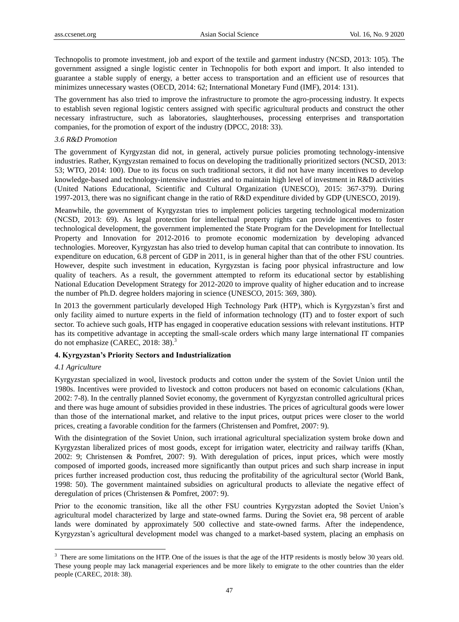Technopolis to promote investment, job and export of the textile and garment industry (NCSD, 2013: 105). The government assigned a single logistic center in Technopolis for both export and import. It also intended to guarantee a stable supply of energy, a better access to transportation and an efficient use of resources that minimizes unnecessary wastes (OECD, 2014: 62; International Monetary Fund (IMF), 2014: 131).

The government has also tried to improve the infrastructure to promote the agro-processing industry. It expects to establish seven regional logistic centers assigned with specific agricultural products and construct the other necessary infrastructure, such as laboratories, slaughterhouses, processing enterprises and transportation companies, for the promotion of export of the industry (DPCC, 2018: 33).

#### *3.6 R&D Promotion*

The government of Kyrgyzstan did not, in general, actively pursue policies promoting technology-intensive industries. Rather, Kyrgyzstan remained to focus on developing the traditionally prioritized sectors (NCSD, 2013: 53; WTO, 2014: 100). Due to its focus on such traditional sectors, it did not have many incentives to develop knowledge-based and technology-intensive industries and to maintain high level of investment in R&D activities (United Nations Educational, Scientific and Cultural Organization (UNESCO), 2015: 367-379). During 1997-2013, there was no significant change in the ratio of R&D expenditure divided by GDP (UNESCO, 2019).

Meanwhile, the government of Kyrgyzstan tries to implement policies targeting technological modernization (NCSD, 2013: 69). As legal protection for intellectual property rights can provide incentives to foster technological development, the government implemented the State Program for the Development for Intellectual Property and Innovation for 2012-2016 to promote economic modernization by developing advanced technologies. Moreover, Kyrgyzstan has also tried to develop human capital that can contribute to innovation. Its expenditure on education, 6.8 percent of GDP in 2011, is in general higher than that of the other FSU countries. However, despite such investment in education, Kyrgyzstan is facing poor physical infrastructure and low quality of teachers. As a result, the government attempted to reform its educational sector by establishing National Education Development Strategy for 2012-2020 to improve quality of higher education and to increase the number of Ph.D. degree holders majoring in science (UNESCO, 2015: 369, 380).

In 2013 the government particularly developed High Technology Park (HTP), which is Kyrgyzstan's first and only facility aimed to nurture experts in the field of information technology (IT) and to foster export of such sector. To achieve such goals, HTP has engaged in cooperative education sessions with relevant institutions. HTP has its competitive advantage in accepting the small-scale orders which many large international IT companies do not emphasize (CAREC, 2018: 38).<sup>3</sup>

#### **4. Kyrgyzstan's Priority Sectors and Industrialization**

#### *4.1 Agriculture*

-

Kyrgyzstan specialized in wool, livestock products and cotton under the system of the Soviet Union until the 1980s. Incentives were provided to livestock and cotton producers not based on economic calculations (Khan, 2002: 7-8). In the centrally planned Soviet economy, the government of Kyrgyzstan controlled agricultural prices and there was huge amount of subsidies provided in these industries. The prices of agricultural goods were lower than those of the international market, and relative to the input prices, output prices were closer to the world prices, creating a favorable condition for the farmers (Christensen and Pomfret, 2007: 9).

With the disintegration of the Soviet Union, such irrational agricultural specialization system broke down and Kyrgyzstan liberalized prices of most goods, except for irrigation water, electricity and railway tariffs (Khan, 2002: 9; Christensen & Pomfret, 2007: 9). With deregulation of prices, input prices, which were mostly composed of imported goods, increased more significantly than output prices and such sharp increase in input prices further increased production cost, thus reducing the profitability of the agricultural sector (World Bank, 1998: 50). The government maintained subsidies on agricultural products to alleviate the negative effect of deregulation of prices (Christensen & Pomfret, 2007: 9).

Prior to the economic transition, like all the other FSU countries Kyrgyzstan adopted the Soviet Union's agricultural model characterized by large and state-owned farms. During the Soviet era, 98 percent of arable lands were dominated by approximately 500 collective and state-owned farms. After the independence, Kyrgyzstan's agricultural development model was changed to a market-based system, placing an emphasis on

<sup>&</sup>lt;sup>3</sup> There are some limitations on the HTP. One of the issues is that the age of the HTP residents is mostly below 30 years old. These young people may lack managerial experiences and be more likely to emigrate to the other countries than the elder people (CAREC, 2018: 38).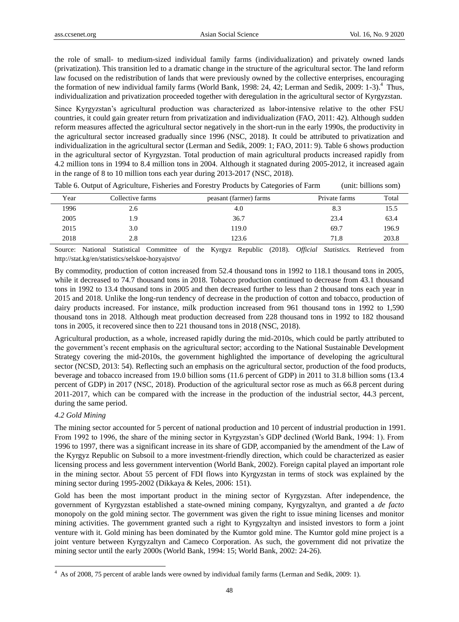the role of small- to medium-sized individual family farms (individualization) and privately owned lands (privatization). This transition led to a dramatic change in the structure of the agricultural sector. The land reform law focused on the redistribution of lands that were previously owned by the collective enterprises, encouraging the formation of new individual family farms (World Bank, 1998: 24, 42; Lerman and Sedik, 2009: 1-3).<sup>4</sup> Thus, individualization and privatization proceeded together with deregulation in the agricultural sector of Kyrgyzstan.

Since Kyrgyzstan's agricultural production was characterized as labor-intensive relative to the other FSU countries, it could gain greater return from privatization and individualization (FAO, 2011: 42). Although sudden reform measures affected the agricultural sector negatively in the short-run in the early 1990s, the productivity in the agricultural sector increased gradually since 1996 (NSC, 2018). It could be attributed to privatization and individualization in the agricultural sector (Lerman and Sedik, 2009: 1; FAO, 2011: 9). Table 6 shows production in the agricultural sector of Kyrgyzstan. Total production of main agricultural products increased rapidly from 4.2 million tons in 1994 to 8.4 million tons in 2004. Although it stagnated during 2005-2012, it increased again in the range of 8 to 10 million tons each year during 2013-2017 (NSC, 2018).

Table 6. Output of Agriculture, Fisheries and Forestry Products by Categories of Farm (unit: billions som)

| Year | Collective farms | peasant (farmer) farms | Private farms | Total |
|------|------------------|------------------------|---------------|-------|
| 1996 | 2.6              | 4.0                    | 8.3           | 15.5  |
| 2005 | 1.9              | 36.7                   | 23.4          | 63.4  |
| 2015 | 3.0              | 119.0                  | 69.7          | 196.9 |
| 2018 | 2.8              | 123.6                  | 71.8          | 203.8 |

Source: National Statistical Committee of the Kyrgyz Republic (2018). *Official Statistics.* Retrieved from <http://stat.kg/en/statistics/selskoe-hozyajstvo/>

By commodity, production of cotton increased from 52.4 thousand tons in 1992 to 118.1 thousand tons in 2005, while it decreased to 74.7 thousand tons in 2018. Tobacco production continued to decrease from 43.1 thousand tons in 1992 to 13.4 thousand tons in 2005 and then decreased further to less than 2 thousand tons each year in 2015 and 2018. Unlike the long-run tendency of decrease in the production of cotton and tobacco, production of dairy products increased. For instance, milk production increased from 961 thousand tons in 1992 to 1,590 thousand tons in 2018. Although meat production decreased from 228 thousand tons in 1992 to 182 thousand tons in 2005, it recovered since then to 221 thousand tons in 2018 (NSC, 2018).

Agricultural production, as a whole, increased rapidly during the mid-2010s, which could be partly attributed to the government's recent emphasis on the agricultural sector; according to the National Sustainable Development Strategy covering the mid-2010s, the government highlighted the importance of developing the agricultural sector (NCSD, 2013: 54). Reflecting such an emphasis on the agricultural sector, production of the food products, beverage and tobacco increased from 19.0 billion soms (11.6 percent of GDP) in 2011 to 31.8 billion soms (13.4 percent of GDP) in 2017 (NSC, 2018). Production of the agricultural sector rose as much as 66.8 percent during 2011-2017, which can be compared with the increase in the production of the industrial sector, 44.3 percent, during the same period.

## *4.2 Gold Mining*

<u>.</u>

The mining sector accounted for 5 percent of national production and 10 percent of industrial production in 1991. From 1992 to 1996, the share of the mining sector in Kyrgyzstan's GDP declined (World Bank, 1994: 1). From 1996 to 1997, there was a significant increase in its share of GDP, accompanied by the amendment of the Law of the Kyrgyz Republic on Subsoil to a more investment-friendly direction, which could be characterized as easier licensing process and less government intervention (World Bank, 2002). Foreign capital played an important role in the mining sector. About 55 percent of FDI flows into Kyrgyzstan in terms of stock was explained by the mining sector during 1995-2002 (Dikkaya & Keles, 2006: 151).

Gold has been the most important product in the mining sector of Kyrgyzstan. After independence, the government of Kyrgyzstan established a state-owned mining company, Kyrgyzaltyn, and granted a *de facto* monopoly on the gold mining sector. The government was given the right to issue mining licenses and monitor mining activities. The government granted such a right to Kyrgyzaltyn and insisted investors to form a joint venture with it. Gold mining has been dominated by the Kumtor gold mine. The Kumtor gold mine project is a joint venture between Kyrgyzaltyn and Cameco Corporation. As such, the government did not privatize the mining sector until the early 2000s (World Bank, 1994: 15; World Bank, 2002: 24-26).

<sup>4</sup> As of 2008, 75 percent of arable lands were owned by individual family farms (Lerman and Sedik, 2009: 1).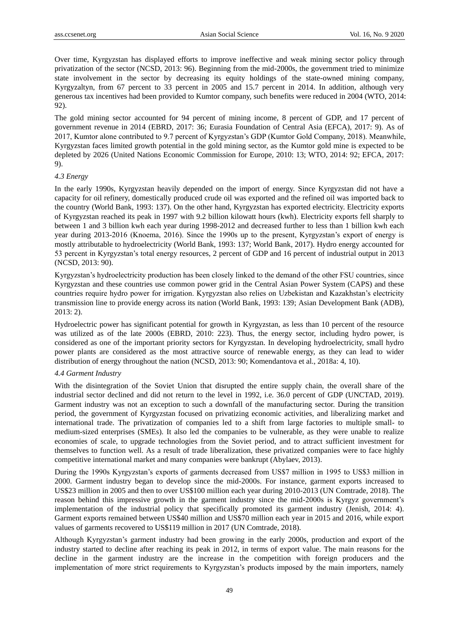Over time, Kyrgyzstan has displayed efforts to improve ineffective and weak mining sector policy through privatization of the sector (NCSD, 2013: 96). Beginning from the mid-2000s, the government tried to minimize state involvement in the sector by decreasing its equity holdings of the state-owned mining company, Kyrgyzaltyn, from 67 percent to 33 percent in 2005 and 15.7 percent in 2014. In addition, although very generous tax incentives had been provided to Kumtor company, such benefits were reduced in 2004 (WTO, 2014: 92).

The gold mining sector accounted for 94 percent of mining income, 8 percent of GDP, and 17 percent of government revenue in 2014 (EBRD, 2017: 36; Eurasia Foundation of Central Asia (EFCA), 2017: 9). As of 2017, Kumtor alone contributed to 9.7 percent of Kyrgyzstan's GDP (Kumtor Gold Company, 2018). Meanwhile, Kyrgyzstan faces limited growth potential in the gold mining sector, as the Kumtor gold mine is expected to be depleted by 2026 (United Nations Economic Commission for Europe, 2010: 13; WTO, 2014: 92; EFCA, 2017: 9).

## *4.3 Energy*

In the early 1990s, Kyrgyzstan heavily depended on the import of energy. Since Kyrgyzstan did not have a capacity for oil refinery, domestically produced crude oil was exported and the refined oil was imported back to the country (World Bank, 1993: 137). On the other hand, Kyrgyzstan has exported electricity. Electricity exports of Kyrgyzstan reached its peak in 1997 with 9.2 billion kilowatt hours (kwh). Electricity exports fell sharply to between 1 and 3 billion kwh each year during 1998-2012 and decreased further to less than 1 billion kwh each year during 2013-2016 (Knoema, 2016). Since the 1990s up to the present, Kyrgyzstan's export of energy is mostly attributable to hydroelectricity (World Bank, 1993: 137; World Bank, 2017). Hydro energy accounted for 53 percent in Kyrgyzstan's total energy resources, 2 percent of GDP and 16 percent of industrial output in 2013 (NCSD, 2013: 90).

Kyrgyzstan's hydroelectricity production has been closely linked to the demand of the other FSU countries, since Kyrgyzstan and these countries use common power grid in the Central Asian Power System (CAPS) and these countries require hydro power for irrigation. Kyrgyzstan also relies on Uzbekistan and Kazakhstan's electricity transmission line to provide energy across its nation (World Bank, 1993: 139; Asian Development Bank (ADB), 2013: 2).

Hydroelectric power has significant potential for growth in Kyrgyzstan, as less than 10 percent of the resource was utilized as of the late 2000s (EBRD, 2010: 223). Thus, the energy sector, including hydro power, is considered as one of the important priority sectors for Kyrgyzstan. In developing hydroelectricity, small hydro power plants are considered as the most attractive source of renewable energy, as they can lead to wider distribution of energy throughout the nation (NCSD, 2013: 90; Komendantova et al., 2018a: 4, 10).

# *4.4 Garment Industry*

With the disintegration of the Soviet Union that disrupted the entire supply chain, the overall share of the industrial sector declined and did not return to the level in 1992, i.e. 36.0 percent of GDP (UNCTAD, 2019). Garment industry was not an exception to such a downfall of the manufacturing sector. During the transition period, the government of Kyrgyzstan focused on privatizing economic activities, and liberalizing market and international trade. The privatization of companies led to a shift from large factories to multiple small- to medium-sized enterprises (SMEs). It also led the companies to be vulnerable, as they were unable to realize economies of scale, to upgrade technologies from the Soviet period, and to attract sufficient investment for themselves to function well. As a result of trade liberalization, these privatized companies were to face highly competitive international market and many companies were bankrupt (Abylaev, 2013).

During the 1990s Kyrgyzstan's exports of garments decreased from US\$7 million in 1995 to US\$3 million in 2000. Garment industry began to develop since the mid-2000s. For instance, garment exports increased to US\$23 million in 2005 and then to over US\$100 million each year during 2010-2013 (UN Comtrade, 2018). The reason behind this impressive growth in the garment industry since the mid-2000s is Kyrgyz government's implementation of the industrial policy that specifically promoted its garment industry (Jenish, 2014: 4). Garment exports remained between US\$40 million and US\$70 million each year in 2015 and 2016, while export values of garments recovered to US\$119 million in 2017 (UN Comtrade, 2018).

Although Kyrgyzstan's garment industry had been growing in the early 2000s, production and export of the industry started to decline after reaching its peak in 2012, in terms of export value. The main reasons for the decline in the garment industry are the increase in the competition with foreign producers and the implementation of more strict requirements to Kyrgyzstan's products imposed by the main importers, namely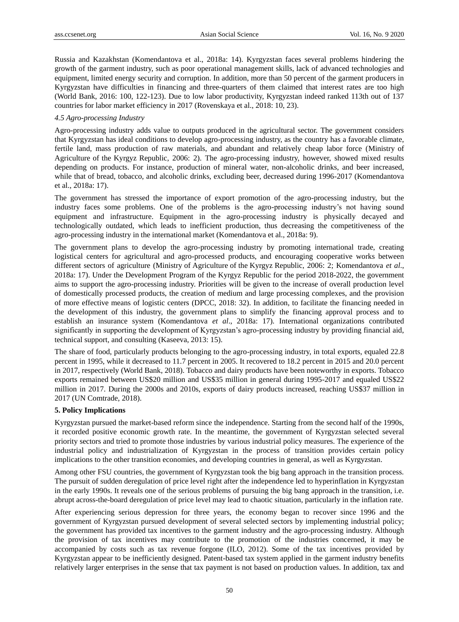Russia and Kazakhstan (Komendantova et al., 2018a: 14). Kyrgyzstan faces several problems hindering the growth of the garment industry, such as poor operational management skills, lack of advanced technologies and equipment, limited energy security and corruption. In addition, more than 50 percent of the garment producers in Kyrgyzstan have difficulties in financing and three-quarters of them claimed that interest rates are too high (World Bank, 2016: 100, 122-123). Due to low labor productivity, Kyrgyzstan indeed ranked 113th out of 137 countries for labor market efficiency in 2017 (Rovenskaya et al., 2018: 10, 23).

## *4.5 Agro-processing Industry*

Agro-processing industry adds value to outputs produced in the agricultural sector. The government considers that Kyrgyzstan has ideal conditions to develop agro-processing industry, as the country has a favorable climate, fertile land, mass production of raw materials, and abundant and relatively cheap labor force (Ministry of Agriculture of the Kyrgyz Republic, 2006: 2). The agro-processing industry, however, showed mixed results depending on products. For instance, production of mineral water, non-alcoholic drinks, and beer increased, while that of bread, tobacco, and alcoholic drinks, excluding beer, decreased during 1996-2017 (Komendantova et al., 2018a: 17).

The government has stressed the importance of export promotion of the agro-processing industry, but the industry faces some problems. One of the problems is the agro-processing industry's not having sound equipment and infrastructure. Equipment in the agro-processing industry is physically decayed and technologically outdated, which leads to inefficient production, thus decreasing the competitiveness of the agro-processing industry in the international market (Komendantova et al., 2018a: 9).

The government plans to develop the agro-processing industry by promoting international trade, creating logistical centers for agricultural and agro-processed products, and encouraging cooperative works between different sectors of agriculture (Ministry of Agriculture of the Kyrgyz Republic, 2006: 2; Komendantova *et al*., 2018a: 17). Under the Development Program of the Kyrgyz Republic for the period 2018-2022, the government aims to support the agro-processing industry. Priorities will be given to the increase of overall production level of domestically processed products, the creation of medium and large processing complexes, and the provision of more effective means of logistic centers (DPCC, 2018: 32). In addition, to facilitate the financing needed in the development of this industry, the government plans to simplify the financing approval process and to establish an insurance system (Komendantova *et al*., 2018a: 17). International organizations contributed significantly in supporting the development of Kyrgyzstan's agro-processing industry by providing financial aid, technical support, and consulting (Kaseeva, 2013: 15).

The share of food, particularly products belonging to the agro-processing industry, in total exports, equaled 22.8 percent in 1995, while it decreased to 11.7 percent in 2005. It recovered to 18.2 percent in 2015 and 20.0 percent in 2017, respectively (World Bank, 2018). Tobacco and dairy products have been noteworthy in exports. Tobacco exports remained between US\$20 million and US\$35 million in general during 1995-2017 and equaled US\$22 million in 2017. During the 2000s and 2010s, exports of dairy products increased, reaching US\$37 million in 2017 (UN Comtrade, 2018).

#### **5. Policy Implications**

Kyrgyzstan pursued the market-based reform since the independence. Starting from the second half of the 1990s, it recorded positive economic growth rate. In the meantime, the government of Kyrgyzstan selected several priority sectors and tried to promote those industries by various industrial policy measures. The experience of the industrial policy and industrialization of Kyrgyzstan in the process of transition provides certain policy implications to the other transition economies, and developing countries in general, as well as Kyrgyzstan.

Among other FSU countries, the government of Kyrgyzstan took the big bang approach in the transition process. The pursuit of sudden deregulation of price level right after the independence led to hyperinflation in Kyrgyzstan in the early 1990s. It reveals one of the serious problems of pursuing the big bang approach in the transition, i.e. abrupt across-the-board deregulation of price level may lead to chaotic situation, particularly in the inflation rate.

After experiencing serious depression for three years, the economy began to recover since 1996 and the government of Kyrgyzstan pursued development of several selected sectors by implementing industrial policy; the government has provided tax incentives to the garment industry and the agro-processing industry. Although the provision of tax incentives may contribute to the promotion of the industries concerned, it may be accompanied by costs such as tax revenue forgone (ILO, 2012). Some of the tax incentives provided by Kyrgyzstan appear to be inefficiently designed. Patent-based tax system applied in the garment industry benefits relatively larger enterprises in the sense that tax payment is not based on production values. In addition, tax and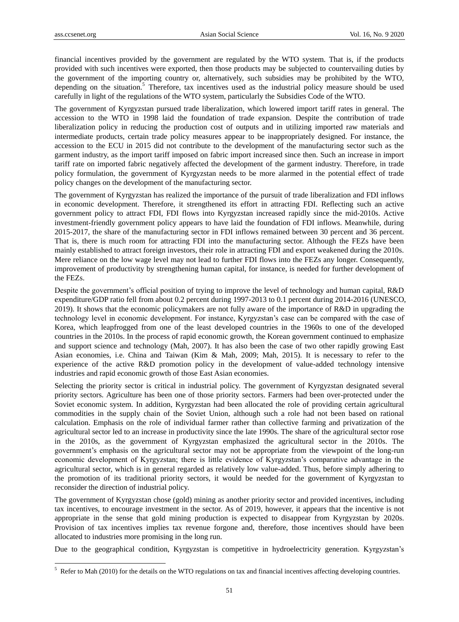-

financial incentives provided by the government are regulated by the WTO system. That is, if the products provided with such incentives were exported, then those products may be subjected to countervailing duties by the government of the importing country or, alternatively, such subsidies may be prohibited by the WTO, depending on the situation.<sup>5</sup> Therefore, tax incentives used as the industrial policy measure should be used carefully in light of the regulations of the WTO system, particularly the Subsidies Code of the WTO.

The government of Kyrgyzstan pursued trade liberalization, which lowered import tariff rates in general. The accession to the WTO in 1998 laid the foundation of trade expansion. Despite the contribution of trade liberalization policy in reducing the production cost of outputs and in utilizing imported raw materials and intermediate products, certain trade policy measures appear to be inappropriately designed. For instance, the accession to the ECU in 2015 did not contribute to the development of the manufacturing sector such as the garment industry, as the import tariff imposed on fabric import increased since then. Such an increase in import tariff rate on imported fabric negatively affected the development of the garment industry. Therefore, in trade policy formulation, the government of Kyrgyzstan needs to be more alarmed in the potential effect of trade policy changes on the development of the manufacturing sector.

The government of Kyrgyzstan has realized the importance of the pursuit of trade liberalization and FDI inflows in economic development. Therefore, it strengthened its effort in attracting FDI. Reflecting such an active government policy to attract FDI, FDI flows into Kyrgyzstan increased rapidly since the mid-2010s. Active investment-friendly government policy appears to have laid the foundation of FDI inflows. Meanwhile, during 2015-2017, the share of the manufacturing sector in FDI inflows remained between 30 percent and 36 percent. That is, there is much room for attracting FDI into the manufacturing sector. Although the FEZs have been mainly established to attract foreign investors, their role in attracting FDI and export weakened during the 2010s. Mere reliance on the low wage level may not lead to further FDI flows into the FEZs any longer. Consequently, improvement of productivity by strengthening human capital, for instance, is needed for further development of the FEZs.

Despite the government's official position of trying to improve the level of technology and human capital, R&D expenditure/GDP ratio fell from about 0.2 percent during 1997-2013 to 0.1 percent during 2014-2016 (UNESCO, 2019). It shows that the economic policymakers are not fully aware of the importance of R&D in upgrading the technology level in economic development. For instance, Kyrgyzstan's case can be compared with the case of Korea, which leapfrogged from one of the least developed countries in the 1960s to one of the developed countries in the 2010s. In the process of rapid economic growth, the Korean government continued to emphasize and support science and technology (Mah, 2007). It has also been the case of two other rapidly growing East Asian economies, i.e. China and Taiwan (Kim & Mah, 2009; Mah, 2015). It is necessary to refer to the experience of the active R&D promotion policy in the development of value-added technology intensive industries and rapid economic growth of those East Asian economies.

Selecting the priority sector is critical in industrial policy. The government of Kyrgyzstan designated several priority sectors. Agriculture has been one of those priority sectors. Farmers had been over-protected under the Soviet economic system. In addition, Kyrgyzstan had been allocated the role of providing certain agricultural commodities in the supply chain of the Soviet Union, although such a role had not been based on rational calculation. Emphasis on the role of individual farmer rather than collective farming and privatization of the agricultural sector led to an increase in productivity since the late 1990s. The share of the agricultural sector rose in the 2010s, as the government of Kyrgyzstan emphasized the agricultural sector in the 2010s. The government's emphasis on the agricultural sector may not be appropriate from the viewpoint of the long-run economic development of Kyrgyzstan; there is little evidence of Kyrgyzstan's comparative advantage in the agricultural sector, which is in general regarded as relatively low value-added. Thus, before simply adhering to the promotion of its traditional priority sectors, it would be needed for the government of Kyrgyzstan to reconsider the direction of industrial policy.

The government of Kyrgyzstan chose (gold) mining as another priority sector and provided incentives, including tax incentives, to encourage investment in the sector. As of 2019, however, it appears that the incentive is not appropriate in the sense that gold mining production is expected to disappear from Kyrgyzstan by 2020s. Provision of tax incentives implies tax revenue forgone and, therefore, those incentives should have been allocated to industries more promising in the long run.

Due to the geographical condition, Kyrgyzstan is competitive in hydroelectricity generation. Kyrgyzstan's

<sup>&</sup>lt;sup>5</sup> Refer to Mah (2010) for the details on the WTO regulations on tax and financial incentives affecting developing countries.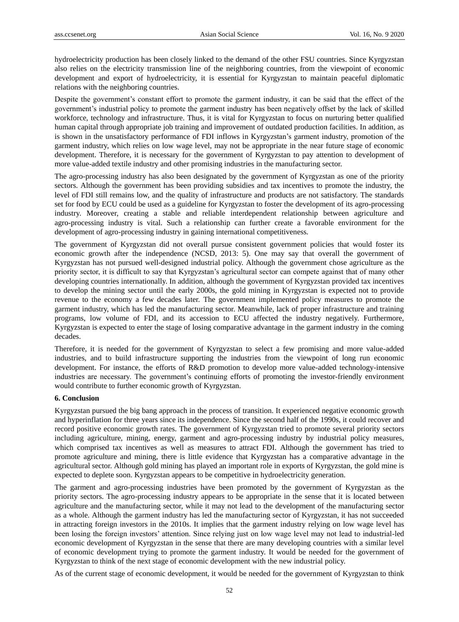hydroelectricity production has been closely linked to the demand of the other FSU countries. Since Kyrgyzstan also relies on the electricity transmission line of the neighboring countries, from the viewpoint of economic development and export of hydroelectricity, it is essential for Kyrgyzstan to maintain peaceful diplomatic relations with the neighboring countries.

Despite the government's constant effort to promote the garment industry, it can be said that the effect of the government's industrial policy to promote the garment industry has been negatively offset by the lack of skilled workforce, technology and infrastructure. Thus, it is vital for Kyrgyzstan to focus on nurturing better qualified human capital through appropriate job training and improvement of outdated production facilities. In addition, as is shown in the unsatisfactory performance of FDI inflows in Kyrgyzstan's garment industry, promotion of the garment industry, which relies on low wage level, may not be appropriate in the near future stage of economic development. Therefore, it is necessary for the government of Kyrgyzstan to pay attention to development of more value-added textile industry and other promising industries in the manufacturing sector.

The agro-processing industry has also been designated by the government of Kyrgyzstan as one of the priority sectors. Although the government has been providing subsidies and tax incentives to promote the industry, the level of FDI still remains low, and the quality of infrastructure and products are not satisfactory. The standards set for food by ECU could be used as a guideline for Kyrgyzstan to foster the development of its agro-processing industry. Moreover, creating a stable and reliable interdependent relationship between agriculture and agro-processing industry is vital. Such a relationship can further create a favorable environment for the development of agro-processing industry in gaining international competitiveness.

The government of Kyrgyzstan did not overall pursue consistent government policies that would foster its economic growth after the independence (NCSD, 2013: 5). One may say that overall the government of Kyrgyzstan has not pursued well-designed industrial policy. Although the government chose agriculture as the priority sector, it is difficult to say that Kyrgyzstan's agricultural sector can compete against that of many other developing countries internationally. In addition, although the government of Kyrgyzstan provided tax incentives to develop the mining sector until the early 2000s, the gold mining in Kyrgyzstan is expected not to provide revenue to the economy a few decades later. The government implemented policy measures to promote the garment industry, which has led the manufacturing sector. Meanwhile, lack of proper infrastructure and training programs, low volume of FDI, and its accession to ECU affected the industry negatively. Furthermore, Kyrgyzstan is expected to enter the stage of losing comparative advantage in the garment industry in the coming decades.

Therefore, it is needed for the government of Kyrgyzstan to select a few promising and more value-added industries, and to build infrastructure supporting the industries from the viewpoint of long run economic development. For instance, the efforts of R&D promotion to develop more value-added technology-intensive industries are necessary. The government's continuing efforts of promoting the investor-friendly environment would contribute to further economic growth of Kyrgyzstan.

#### **6. Conclusion**

Kyrgyzstan pursued the big bang approach in the process of transition. It experienced negative economic growth and hyperinflation for three years since its independence. Since the second half of the 1990s, it could recover and record positive economic growth rates. The government of Kyrgyzstan tried to promote several priority sectors including agriculture, mining, energy, garment and agro-processing industry by industrial policy measures, which comprised tax incentives as well as measures to attract FDI. Although the government has tried to promote agriculture and mining, there is little evidence that Kyrgyzstan has a comparative advantage in the agricultural sector. Although gold mining has played an important role in exports of Kyrgyzstan, the gold mine is expected to deplete soon. Kyrgyzstan appears to be competitive in hydroelectricity generation.

The garment and agro-processing industries have been promoted by the government of Kyrgyzstan as the priority sectors. The agro-processing industry appears to be appropriate in the sense that it is located between agriculture and the manufacturing sector, while it may not lead to the development of the manufacturing sector as a whole. Although the garment industry has led the manufacturing sector of Kyrgyzstan, it has not succeeded in attracting foreign investors in the 2010s. It implies that the garment industry relying on low wage level has been losing the foreign investors' attention. Since relying just on low wage level may not lead to industrial-led economic development of Kyrgyzstan in the sense that there are many developing countries with a similar level of economic development trying to promote the garment industry. It would be needed for the government of Kyrgyzstan to think of the next stage of economic development with the new industrial policy.

As of the current stage of economic development, it would be needed for the government of Kyrgyzstan to think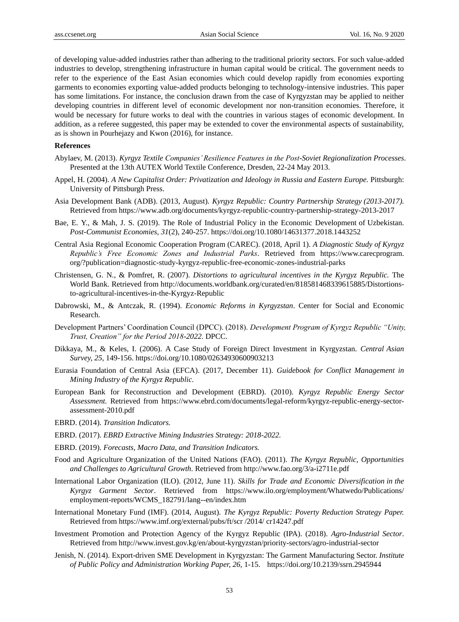of developing value-added industries rather than adhering to the traditional priority sectors. For such value-added industries to develop, strengthening infrastructure in human capital would be critical. The government needs to refer to the experience of the East Asian economies which could develop rapidly from economies exporting garments to economies exporting value-added products belonging to technology-intensive industries. This paper has some limitations. For instance, the conclusion drawn from the case of Kyrgyzstan may be applied to neither developing countries in different level of economic development nor non-transition economies. Therefore, it would be necessary for future works to deal with the countries in various stages of economic development. In addition, as a referee suggested, this paper may be extended to cover the environmental aspects of sustainability, as is shown in Pourhejazy and Kwon (2016), for instance.

#### **References**

- Abylaev, M. (2013). *Kyrgyz Textile Companies' Resilience Features in the Post-Soviet Regionalization Processes.* Presented at the 13th AUTEX World Textile Conference, Dresden, 22-24 May 2013.
- Appel, H. (2004). *A New Capitalist Order: Privatization and Ideology in Russia and Eastern Europe.* Pittsburgh: University of Pittsburgh Press.
- Asia Development Bank (ADB). (2013, August). *Kyrgyz Republic: Country Partnership Strategy (2013-2017).*  Retrieved from<https://www.adb.org/documents/kyrgyz-republic-country-partnership-strategy-2013-2017>
- Bae, E. Y., & Mah, J. S. (2019). The Role of Industrial Policy in the Economic Development of Uzbekistan. *Post-Communist Economies, 31*(2), 240-257.<https://doi.org/10.1080/14631377.2018.1443252>
- Central Asia Regional Economic Cooperation Program (CAREC). (2018, April 1). *A Diagnostic Study of Kyrgyz Republic's Free Economic Zones and Industrial Parks*. Retrieved from [https://www.carecprogram.](https://www.carecprogram.org/?publication=diagnostic-study-kyrgyz-republic-free-economic-zones-industrial-parks) [org/?publication=diagnostic-study-kyrgyz-republic-free-economic-zones-industrial-parks](https://www.carecprogram.org/?publication=diagnostic-study-kyrgyz-republic-free-economic-zones-industrial-parks)
- Christensen, G. N., & Pomfret, R. (2007). *Distortions to agricultural incentives in the Kyrgyz Republic.* The World Bank. Retrieved from [http://documents.worldbank.org/curated/en/818581468339615885/Distortions](http://documents.worldbank.org/curated/en/818581468339615885/Distortions-to-agricultural-incentives-in-the-Kyrgyz-Republic)[to-agricultural-incentives-in-the-Kyrgyz-Republic](http://documents.worldbank.org/curated/en/818581468339615885/Distortions-to-agricultural-incentives-in-the-Kyrgyz-Republic)
- Dabrowski, M., & Antczak, R. (1994). *Economic Reforms in Kyrgyzstan*. Center for Social and Economic Research.
- Development Partners' Coordination Council (DPCC). (2018). *Development Program of Kyrgyz Republic "Unity, Trust, Creation" for the Period 2018-2022.* DPCC.
- Dikkaya, M., & Keles, I. (2006). A Case Study of Foreign Direct Investment in Kyrgyzstan. *Central Asian Survey, 25,* 149-156.<https://doi.org/10.1080/02634930600903213>
- Eurasia Foundation of Central Asia (EFCA). (2017, December 11). *Guidebook for Conflict Management in Mining Industry of the Kyrgyz Republic.*
- European Bank for Reconstruction and Development (EBRD). (2010). *Kyrgyz Republic Energy Sector Assessment.* Retrieved from [https://www.ebrd.com/documents/legal-reform/kyrgyz-republic-energy-sector](https://www.ebrd.com/documents/legal-reform/kyrgyz-republic-energy-sector-assessment-2010.pdf)[assessment-2010.pdf](https://www.ebrd.com/documents/legal-reform/kyrgyz-republic-energy-sector-assessment-2010.pdf)
- EBRD. (2014). *Transition Indicators.*
- EBRD. (2017). *EBRD Extractive Mining Industries Strategy: 2018-2022.*
- EBRD. (2019). *Forecasts, Macro Data, and Transition Indicators.*
- Food and Agriculture Organization of the United Nations (FAO). (2011). *The Kyrgyz Republic, Opportunities and Challenges to Agricultural Growth*. Retrieved from<http://www.fao.org/3/a-i2711e.pdf>
- International Labor Organization (ILO). (2012, June 11). *Skills for Trade and Economic Diversification in the Kyrgyz Garment Sector*. Retrieved from [https://www.ilo.org/employment/Whatwedo/Publications/](https://www.ilo.org/employment/Whatwedo/Publications/employment-reports/WCMS_182791/lang--en/index.htm) [employment-reports/WCMS\\_182791/lang--en/index.htm](https://www.ilo.org/employment/Whatwedo/Publications/employment-reports/WCMS_182791/lang--en/index.htm)
- International Monetary Fund (IMF). (2014, August). *The Kyrgyz Republic: Poverty Reduction Strategy Paper.*  Retrieved from [https://www.imf.org/external/pubs/ft/scr /2014/ cr14247.pdf](https://www.imf.org/external/pubs/ft/scr%20/2014/%20cr14247.pdf)
- Investment Promotion and Protection Agency of the Kyrgyz Republic (IPA). (2018). *Agro-Industrial Sector*. Retrieved from http://www.invest.gov.kg/en/about-kyrgyzstan/priority-sectors/agro-industrial-sector
- Jenish, N. (2014). Export-driven SME Development in Kyrgyzstan: The Garment Manufacturing Sector. *Institute of Public Policy and Administration Working Paper, 26,* 1-15. [https://doi.org/10.2139/ssrn.2945944](https://dx.doi.org/10.2139/ssrn.2945944)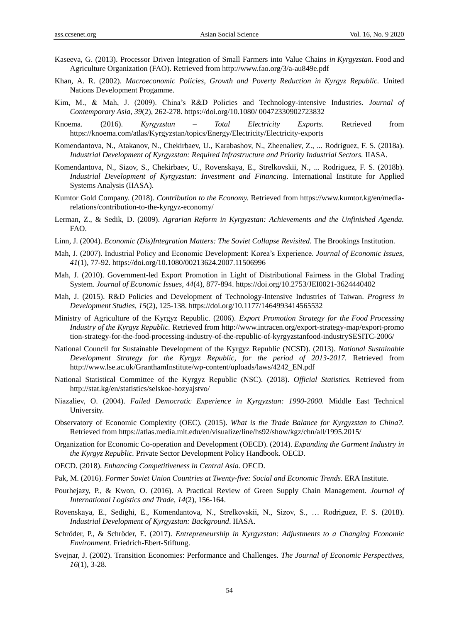- Kaseeva, G. (2013). Processor Driven Integration of Small Farmers into Value Chains *in Kyrgyzstan.* Food and Agriculture Organization (FAO). Retrieved from<http://www.fao.org/3/a-au849e.pdf>
- Khan, A. R. (2002). *Macroeconomic Policies, Growth and Poverty Reduction in Kyrgyz Republic.* United Nations Development Progamme.
- Kim, M., & Mah, J. (2009). China's R&D Policies and Technology-intensive Industries. *Journal of Contemporary Asia, 39*(2), 262-278. [https://doi.org/10.1080/ 00472330902723832](https://doi.org/10.1080/%2000472330902723832)
- Knoema. (2016). *Kyrgyzstan – Total Electricity Exports.* Retrieved from <https://knoema.com/atlas/Kyrgyzstan/topics/Energy/Electricity/Electricity-exports>
- Komendantova, N., Atakanov, N., Chekirbaev, U., Karabashov, N., Zheenaliev, Z., ... Rodriguez, F. S. (2018a). *Industrial Development of Kyrgyzstan: Required Infrastructure and Priority Industrial Sectors.* IIASA.
- Komendantova, N., Sizov, S., Chekirbaev, U., Rovenskaya, E., Strelkovskii, N., ... Rodriguez, F. S. (2018b). *Industrial Development of Kyrgyzstan: Investment and Financing*. International Institute for Applied Systems Analysis (IIASA).
- Kumtor Gold Company. (2018). *Contribution to the Economy.* Retrieved from https://www.kumtor.kg/en/mediarelations/contribution-to-the-kyrgyz-economy/
- Lerman, Z., & Sedik, D. (2009). *Agrarian Reform in Kyrgyzstan: Achievements and the Unfinished Agenda.*  FAO.
- Linn, J. (2004). *Economic (Dis)Integration Matters: The Soviet Collapse Revisited.* The Brookings Institution.
- Mah, J. (2007). Industrial Policy and Economic Development: Korea's Experience. *Journal of Economic Issues, 41*(1), 77-92.<https://doi.org/10.1080/00213624.2007.11506996>
- Mah, J. (2010). Government-led Export Promotion in Light of Distributional Fairness in the Global Trading System. *Journal of Economic Issues, 44*(4), 877-894.<https://doi.org/10.2753/JEI0021-3624440402>
- Mah, J. (2015). R&D Policies and Development of Technology-Intensive Industries of Taiwan. *Progress in Development Studies, 15*(2), 125-138.<https://doi.org/10.1177/1464993414565532>
- Ministry of Agriculture of the Kyrgyz Republic. (2006). *Export Promotion Strategy for the Food Processing Industry of the Kyrgyz Republic.* Retrieved from [http://www.intracen.org/export-strategy-map/export-promo](http://www.intracen.org/export-strategy-map/export-promotion-strategy-for-the-food-processing-industry-of-the-republic-of-kyrgyzstanfood-industrySESITC-2006/) [tion-strategy-for-the-food-processing-industry-of-the-republic-of-kyrgyzstanfood-industrySESITC-2006/](http://www.intracen.org/export-strategy-map/export-promotion-strategy-for-the-food-processing-industry-of-the-republic-of-kyrgyzstanfood-industrySESITC-2006/)
- National Council for Sustainable Development of the Kyrgyz Republic (NCSD). (2013). *National Sustainable Development Strategy for the Kyrgyz Republic, for the period of 2013-2017.* Retrieved from [http://www.lse.ac.uk/GranthamInstitute/wp-c](http://www.lse.ac.uk/GranthamInstitute/wp-)ontent/uploads/laws/4242\_EN.pdf
- National Statistical Committee of the Kyrgyz Republic (NSC). (2018). *Official Statistics.* Retrieved from <http://stat.kg/en/statistics/selskoe-hozyajstvo/>
- Niazaliev, O. (2004). *Failed Democratic Experience in Kyrgyzstan: 1990-2000.* Middle East Technical University.
- Observatory of Economic Complexity (OEC). (2015). *What is the Trade Balance for Kyrgyzstan to China?.*  Retrieved from [https://atlas.media.mit.edu/en/visualize/line/](https://atlas.media.mit.edu/en/visualize/line)hs92/show/kgz/chn/all/1995.2015/
- Organization for Economic Co-operation and Development (OECD). (2014). *Expanding the Garment Industry in the Kyrgyz Republic.* Private Sector Development Policy Handbook. OECD.
- OECD. (2018). *Enhancing Competitiveness in Central Asia.* OECD.
- Pak, M. (2016). *Former Soviet Union Countries at Twenty-five: Social and Economic Trends.* ERA Institute.
- Pourhejazy, P., & Kwon, O. (2016). A Practical Review of Green Supply Chain Management. *Journal of International Logistics and Trade, 14*(2), 156-164.
- Rovenskaya, E., Sedighi, E., Komendantova, N., Strelkovskii, N., Sizov, S., … Rodriguez, F. S. (2018). *Industrial Development of Kyrgyzstan: Background*. IIASA.
- Schröder, P., & Schröder, E. (2017). *Entrepreneurship in Kyrgyzstan: Adjustments to a Changing Economic Environment.* Friedrich-Ebert-Stiftung.
- Svejnar, J. (2002). Transition Economies: Performance and Challenges. *The Journal of Economic Perspectives, 16*(1), 3-28.